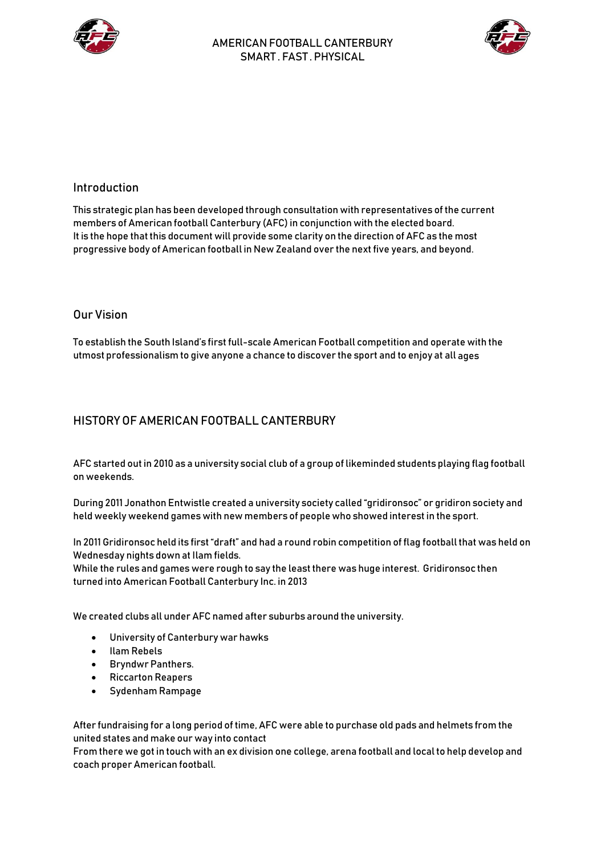



## Introduction

This strategic plan has been developed through consultation with representatives of the current members of American football Canterbury (AFC) in conjunction with the elected board. It is the hope that this document will provide some clarity on the direction of AFC as the most progressive body of American football in New Zealand over the next five years, and beyond.

### Our Vision

To establish the South Island's first full-scale American Football competition and operate with the utmost professionalism to give anyone a chance to discover the sport and to enjoy at all ages

# HISTORY OF AMFRICAN FOOTBALL CANTERBURY

AFC started out in 2010 as a university social club of a group of likeminded students playing flag football on weekends.

During 2011 Jonathon Entwistle created a university society called "gridironsoc" or gridiron society and held weekly weekend games with new members of people who showed interest in the sport.

In 2011 Gridironsoc held its first "draft" and had a round robin competition of flag football that was held on Wednesday nights down at Ilam fields.

While the rules and games were rough to say the least there was huge interest. Gridironsoc then turned into American Football Canterbury Inc. in 2013

We created clubs all under AFC named after suburbs around the university.

- University of Canterbury war hawks
- Ilam Rebels
- Bryndwr Panthers.
- Riccarton Reapers
- Sydenham Rampage

After fundraising for a long period of time, AFC were able to purchase old pads and helmets from the united states and make our way into contact

From there we got in touch with an ex division one college, arena football and local to help develop and coach proper American football.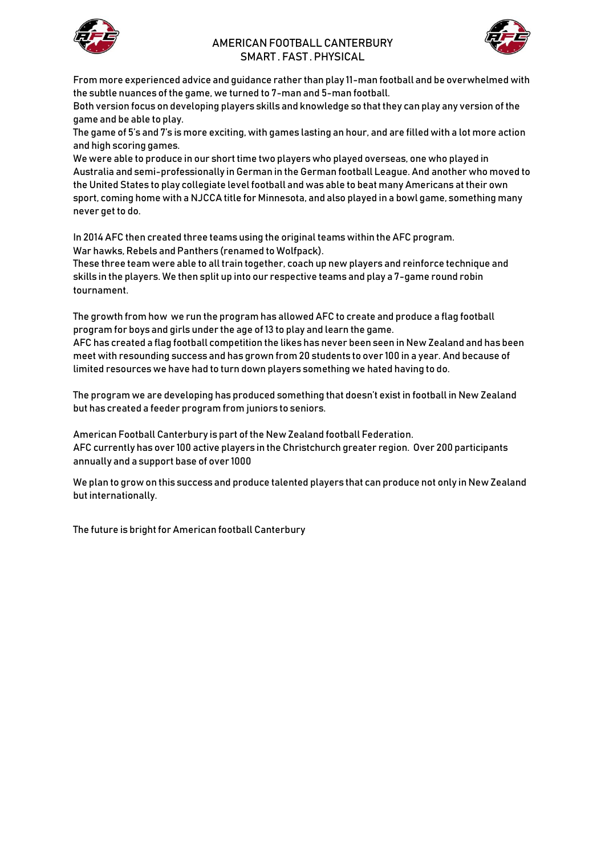

### AMERICAN FOOTBALL CANTERBURY SMART . FAST . PHYSICAL



From more experienced advice and guidance rather than play 11-man football and be overwhelmed with the subtle nuances of the game, we turned to 7-man and 5-man football.

Both version focus on developing players skills and knowledge so that they can play any version of the game and be able to play.

The game of 5's and 7's is more exciting, with games lasting an hour, and are filled with a lot more action and high scoring games.

We were able to produce in our short time two players who played overseas, one who played in Australia and semi-professionally in German in the German football League. And another who moved to the United States to play collegiate level football and was able to beat many Americans at their own sport, coming home with a NJCCA title for Minnesota, and also played in a bowl game, something many never get to do.

In 2014 AFC then created three teams using the original teams within the AFC program. War hawks, Rebels and Panthers (renamed to Wolfpack).

These three team were able to all train together, coach up new players and reinforce technique and skills in the players. We then split up into our respective teams and play a 7-game round robin tournament.

The growth from how we run the program has allowed AFC to create and produce a flag football program for boys and girls under the age of 13 to play and learn the game.

AFC has created a flag football competition the likes has never been seen in New Zealand and has been meet with resounding success and has grown from 20 students to over 100 in a year. And because of limited resources we have had to turn down players something we hated having to do.

The program we are developing has produced something that doesn't exist in football in New Zealand but has created a feeder program from juniors to seniors.

American Football Canterbury is part of the New Zealand football Federation. AFC currently has over 100 active players in the Christchurch greater region. Over 200 participants annually and a support base of over 1000

We plan to grow on this success and produce talented players that can produce not only in New Zealand but internationally.

The future is bright for American football Canterbury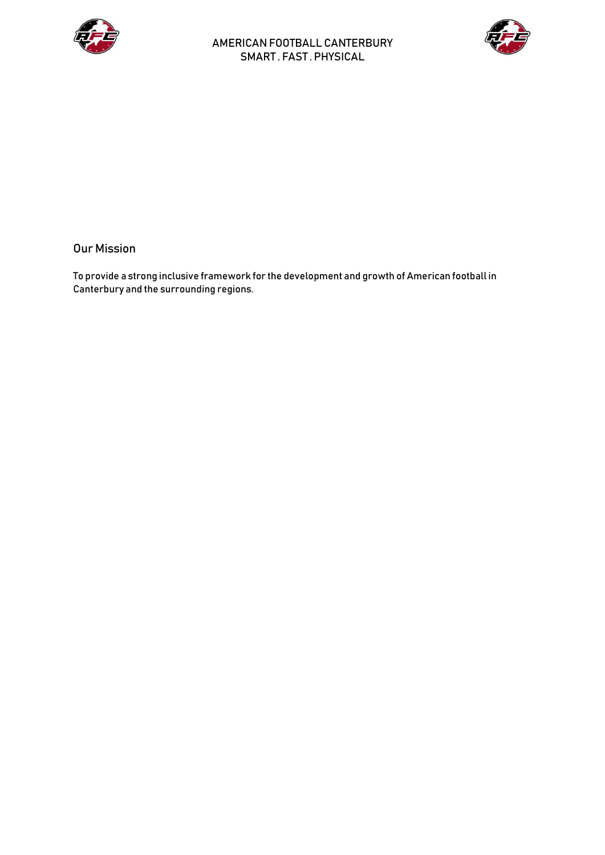



## Our Mission

To provide a strong inclusive framework for the development and growth of American football in Canterbury and the surrounding regions.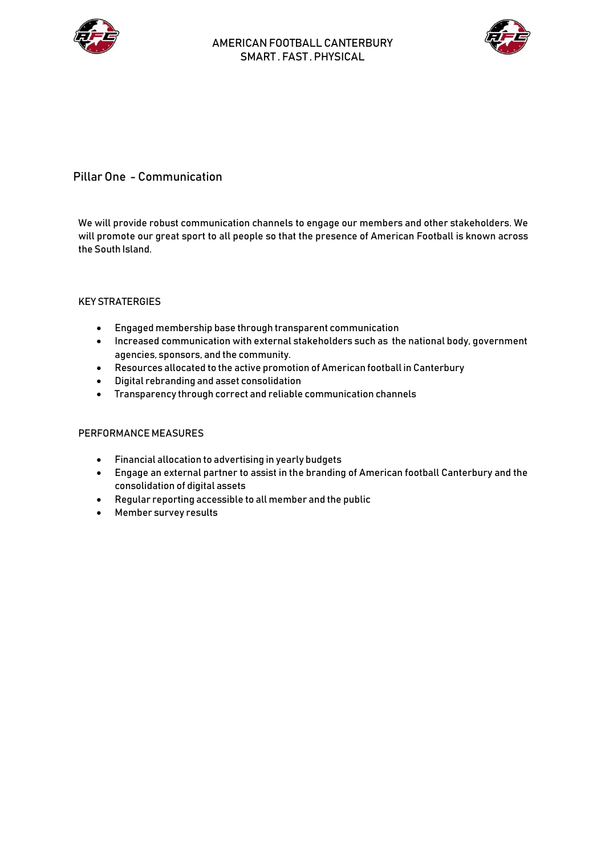



# Pillar One - Communication

We will provide robust communication channels to engage our members and other stakeholders. We will promote our great sport to all people so that the presence of American Football is known across the South Island.

### KEY STRATERGIES

- Engaged membership base through transparent communication
- Increased communication with external stakeholders such as the national body, government agencies, sponsors, and the community.
- Resources allocated to the active promotion of American football in Canterbury
- Digital rebranding and asset consolidation
- Transparency through correct and reliable communication channels

- Financial allocation to advertising in yearly budgets
- Engage an external partner to assist in the branding of American football Canterbury and the consolidation of digital assets
- Regular reporting accessible to all member and the public
- Member survey results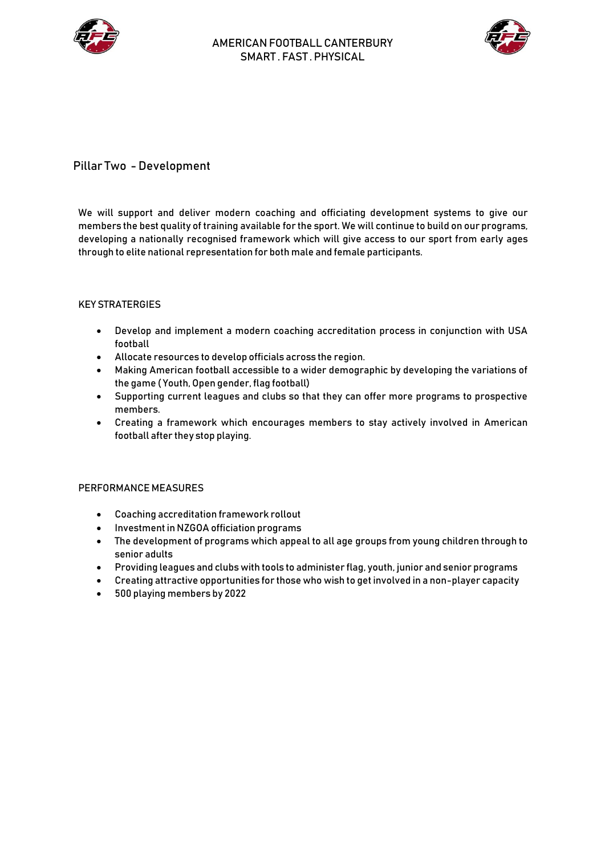



# Pillar Two - Development

We will support and deliver modern coaching and officiating development systems to give our members the best quality of training available for the sport. We will continue to build on our programs, developing a nationally recognised framework which will give access to our sport from early ages through to elite national representation for both male and female participants.

### KEY STRATERGIES

- Develop and implement a modern coaching accreditation process in conjunction with USA football
- Allocate resources to develop officials across the region.
- Making American football accessible to a wider demographic by developing the variations of the game ( Youth, Open gender, flag football)
- Supporting current leagues and clubs so that they can offer more programs to prospective members.
- Creating a framework which encourages members to stay actively involved in American football after they stop playing.

- Coaching accreditation framework rollout
- Investment in NZGOA officiation programs
- The development of programs which appeal to all age groups from young children through to senior adults
- Providing leagues and clubs with tools to administer flag, youth, junior and senior programs
- Creating attractive opportunities for those who wish to get involved in a non-player capacity
- 500 playing members by 2022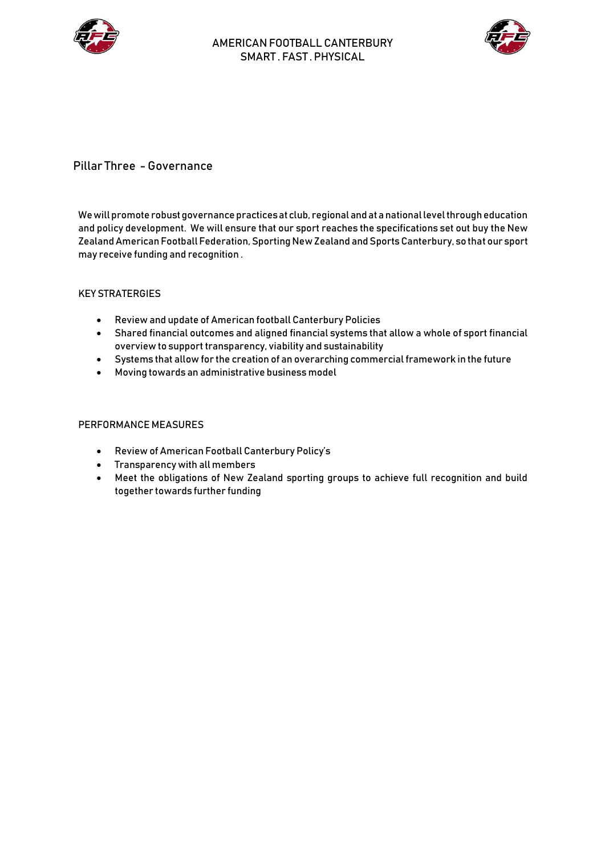



## Pillar Three - Governance

We will promote robust governance practices at club, regional and at a national level through education and policy development. We will ensure that our sport reaches the specifications set out buy the New Zealand American Football Federation, Sporting New Zealand and Sports Canterbury, so that our sport may receive funding and recognition .

### KEY STRATERGIES

- Review and update of American football Canterbury Policies
- Shared financial outcomes and aligned financial systems that allow a whole of sport financial overview to support transparency, viability and sustainability
- Systems that allow for the creation of an overarching commercial framework in the future
- Moving towards an administrative business model

- Review of American Football Canterbury Policy's
- Transparency with all members
- Meet the obligations of New Zealand sporting groups to achieve full recognition and build together towards further funding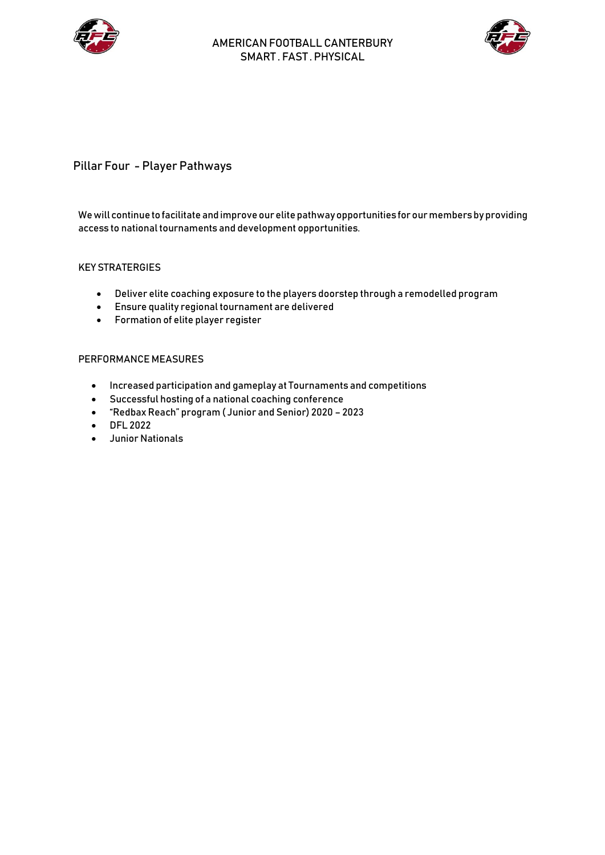



# Pillar Four - Player Pathways

### We will continue to facilitate and improve our elite pathway opportunities for our members by providing access to national tournaments and development opportunities.

### KEY STRATERGIES

- Deliver elite coaching exposure to the players doorstep through a remodelled program
- Ensure quality regional tournament are delivered
- Formation of elite player register

- Increased participation and gameplay at Tournaments and competitions
- Successful hosting of a national coaching conference
- "Redbax Reach" program ( Junior and Senior) 2020 2023
- DFL 2022
- Junior Nationals